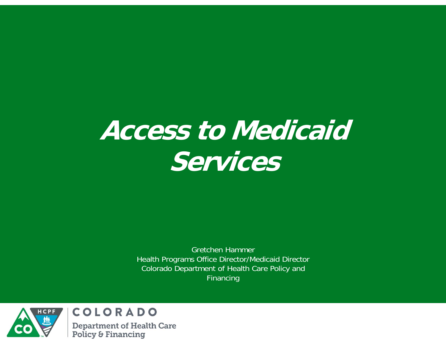#### **Access to Medicaid Services**

Gretchen HammerHealth Programs Office Director/Medicaid Director Colorado Department of Health Care Policy and Financing



COLORADO **Department of Health Care Policy & Financing**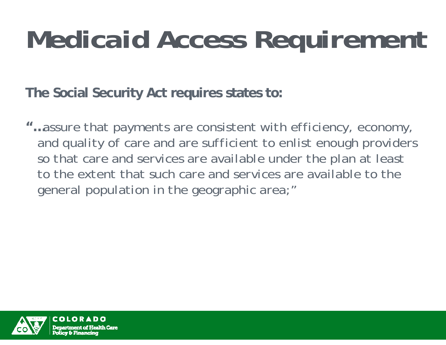# *Medicaid Access Requirement*

**The Social Security Act requires states to:** 

**"…***assure that payments are consistent with efficiency, economy, and quality of care and are sufficient to enlist enough providers so that care and services are available under the plan at least to the extent that such care and services are available to the general population in the geographic area;"*

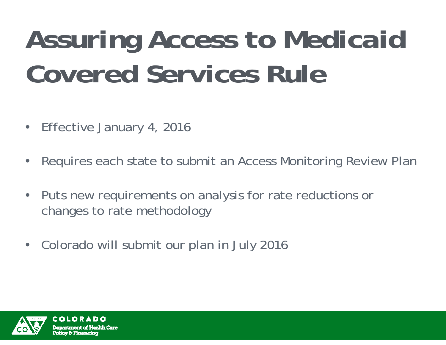# *Assuring Access to Medicaid Covered Services Rule*

- $\bullet$ Effective January 4, 2016
- $\bullet$ Requires each state to submit an Access Monitoring Review Plan
- $\bullet$  Puts new requirements on analysis for rate reductions or changes to rate methodology
- Colorado will submit our plan in July 2016

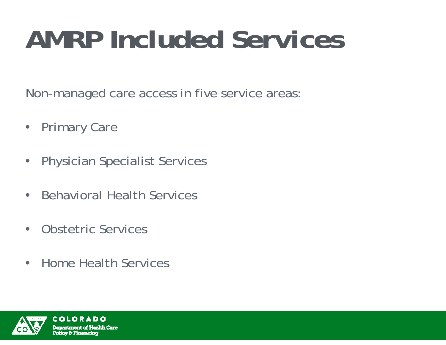### *AMRP Included Services*

Non-managed care access in five service areas:

- $\bullet$ Primary Care
- $\bullet$ Physician Specialist Services
- $\bullet$ Behavioral Health Services
- $\bullet$ Obstetric Services
- $\bullet$ Home Health Services

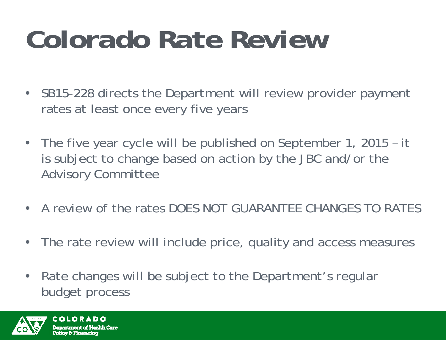# *Colorado Rate Review*

- SB15-228 directs the Department will review provider payment rates at least once every five years
- $\bullet$  The five year cycle will be published on September 1, 2015 – it is subject to change based on action by the JBC and/or the Advisory Committee
- A review of the rates DOES NOT GUARANTEE CHANGES TO RATES
- $\bullet$ The rate review will include price, quality and access measures
- $\bullet$  Rate changes will be subject to the Department's regular budget process

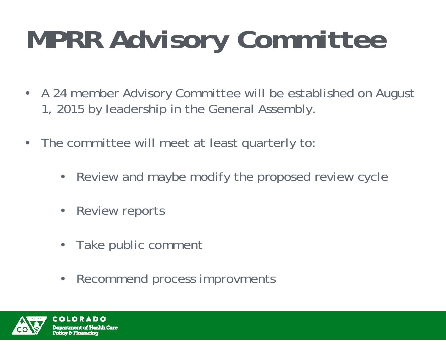# *MPRR Advisory Committee*

- A 24 member Advisory Committee will be established on August 1, 2015 by leadership in the General Assembly.
- $\bullet$  The committee will meet at least quarterly to:
	- $\bullet$ Review and maybe modify the proposed review cycle
	- $\bullet$ Review reports
	- $\bullet$ Take public comment
	- $\bullet$ Recommend process improvments